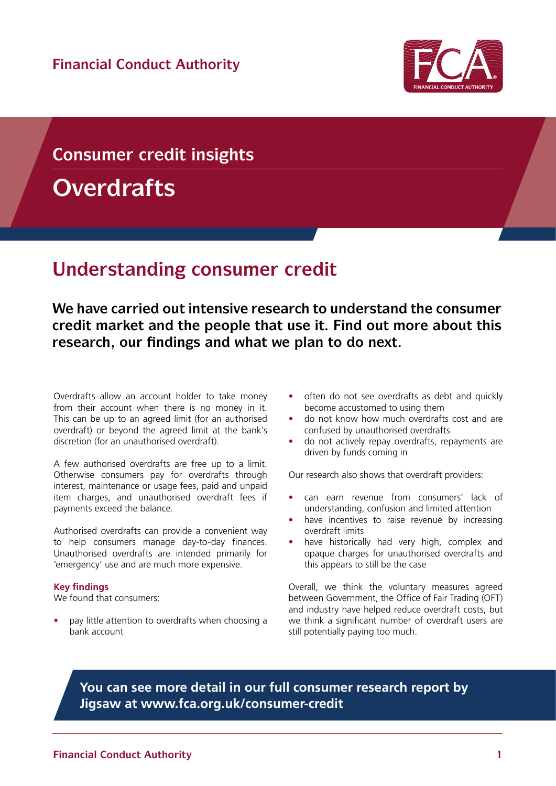

# **Consumer credit insights**

**Overdrafts**

## **Understanding consumer credit**

**We have carried out intensive research to understand the consumer credit market and the people that use it. Find out more about this research, our findings and what we plan to do next.**

Overdrafts allow an account holder to take money from their account when there is no money in it. This can be up to an agreed limit (for an authorised overdraft) or beyond the agreed limit at the bank's discretion (for an unauthorised overdraft).

A few authorised overdrafts are free up to a limit. Otherwise consumers pay for overdrafts through interest, maintenance or usage fees, paid and unpaid item charges, and unauthorised overdraft fees if payments exceed the balance.

Authorised overdrafts can provide a convenient way to help consumers manage day-to-day finances. Unauthorised overdrafts are intended primarily for 'emergency' use and are much more expensive.

#### **Key findings**

We found that consumers:

• pay little attention to overdrafts when choosing a bank account

- often do not see overdrafts as debt and quickly become accustomed to using them
- do not know how much overdrafts cost and are confused by unauthorised overdrafts
- do not actively repay overdrafts, repayments are driven by funds coming in

Our research also shows that overdraft providers:

- can earn revenue from consumers' lack of understanding, confusion and limited attention
- have incentives to raise revenue by increasing overdraft limits
- have historically had very high, complex and opaque charges for unauthorised overdrafts and this appears to still be the case

Overall, we think the voluntary measures agreed between Government, the Office of Fair Trading (OFT) and industry have helped reduce overdraft costs, but we think a significant number of overdraft users are still potentially paying too much.

## **You can see more detail in our [full consumer research report](http://www.fca.org.uk/news/consumer-credit-research) by Jigsaw at [www.fca.org.uk/consumer-credit](http://www.fca.org.uk/consumer-credit)**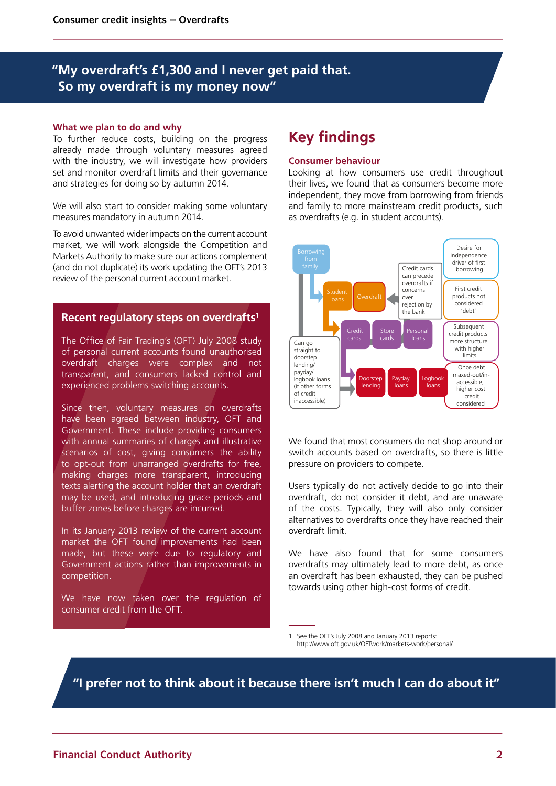## **"My overdraft's £1,300 and I never get paid that. So my overdraft is my money now"**

#### **What we plan to do and why**

To further reduce costs, building on the progress already made through voluntary measures agreed with the industry, we will investigate how providers set and monitor overdraft limits and their governance and strategies for doing so by autumn 2014.

We will also start to consider making some voluntary measures mandatory in autumn 2014.

To avoid unwanted wider impacts on the current account market, we will work alongside the Competition and Markets Authority to make sure our actions complement (and do not duplicate) its work updating the OFT's 2013 review of the personal current account market.

#### **Recent regulatory steps on overdrafts1**

The Office of Fair Trading's (OFT) July 2008 study of personal current accounts found unauthorised overdraft charges were complex and not transparent, and consumers lacked control and experienced problems switching accounts.

Since then, voluntary measures on overdrafts have been agreed between industry, OFT and Government. These include providing consumers with annual summaries of charges and illustrative scenarios of cost, giving consumers the ability to opt-out from unarranged overdrafts for free, making charges more transparent, introducing texts alerting the account holder that an overdraft may be used, and introducing grace periods and buffer zones before charges are incurred.

In its January 2013 review of the current account market the OFT found improvements had been made, but these were due to regulatory and Government actions rather than improvements in competition.

We have now taken over the regulation of consumer credit from the OFT.

## **Key findings**

#### **Consumer behaviour**

Looking at how consumers use credit throughout their lives, we found that as consumers become more independent, they move from borrowing from friends and family to more mainstream credit products, such as overdrafts (e.g. in student accounts).



We found that most consumers do not shop around or switch accounts based on overdrafts, so there is little pressure on providers to compete.

Users typically do not actively decide to go into their overdraft, do not consider it debt, and are unaware of the costs. Typically, they will also only consider alternatives to overdrafts once they have reached their overdraft limit.

We have also found that for some consumers overdrafts may ultimately lead to more debt, as once an overdraft has been exhausted, they can be pushed towards using other high-cost forms of credit.

1 See the OFT's July 2008 and January 2013 reports: http://www.oft.gov.uk/OFTwork/markets-work/personal/

**"I prefer not to think about it because there isn't much I can do about it"**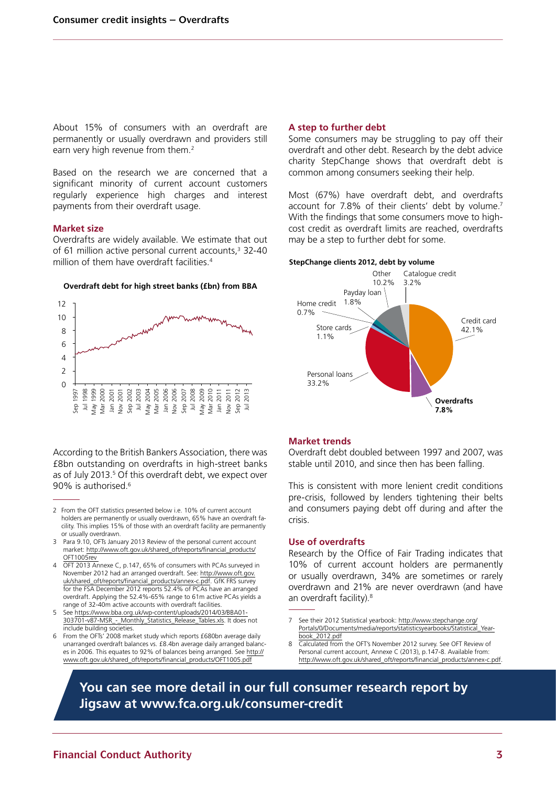About 15% of consumers with an overdraft are permanently or usually overdrawn and providers still earn very high revenue from them.<sup>2</sup>

Based on the research we are concerned that a significant minority of current account customers regularly experience high charges and interest payments from their overdraft usage.

#### **Market size**

Overdrafts are widely available. We estimate that out of 61 million active personal current accounts,<sup>3</sup> 32-40 million of them have overdraft facilities.<sup>4</sup>



#### **Overdraft debt for high street banks (£bn) from BBA**

According to the British Bankers Association, there was £8bn outstanding on overdrafts in high-street banks as of July 2013.<sup>5</sup> Of this overdraft debt, we expect over 90% is authorised.6

- 3 Para 9.10, OFTs January 2013 Review of the personal current account market: [http://www.oft.gov.uk/shared\\_oft/reports/financial\\_products/](http://www.oft.gov.uk/shared_oft/reports/financial_products/OFT1005rev) [OFT1005rev](http://www.oft.gov.uk/shared_oft/reports/financial_products/OFT1005rev)
- 4 OFT 2013 Annexe C, p.147, 65% of consumers with PCAs surveyed in November 2012 had an arranged overdraft. See: [http://www.oft.gov.](http://www.oft.gov.uk/shared_oft/reports/financial_products/annex-c.pdf) [uk/shared\\_oft/reports/financial\\_products/annex-c.pdf](http://www.oft.gov.uk/shared_oft/reports/financial_products/annex-c.pdf). GfK FRS survey for the FSA December 2012 reports 52.4% of PCAs have an arranged overdraft. Applying the 52.4%-65% range to 61m active PCAs yields a range of 32-40m active accounts with overdraft facilities.
- 5 See [https://www.bba.org.uk/wp-content/uploads/2014/03/BBA01-](https://www.bba.org.uk/wp-content/uploads/2014/03/BBA01-303701-v87-MSR_-_Monthly_Statistics_Release_Tables.xls) [303701-v87-MSR\\_-\\_Monthly\\_Statistics\\_Release\\_Tables.xls.](https://www.bba.org.uk/wp-content/uploads/2014/03/BBA01-303701-v87-MSR_-_Monthly_Statistics_Release_Tables.xls) It does not include building societies.
- From the OFTs' 2008 market study which reports £680bn average daily unarranged overdraft balances vs. £8.4bn average daily arranged balances in 2006. This equates to 92% of balances being arranged. See [http://](http://www.oft.gov.uk/shared_oft/reports/financial_products/OFT1005.pdf) [www.oft.gov.uk/shared\\_oft/reports/financial\\_products/OFT1005.pdf](http://www.oft.gov.uk/shared_oft/reports/financial_products/OFT1005.pdf)

#### **A step to further debt**

Some consumers may be struggling to pay off their overdraft and other debt. Research by the debt advice charity StepChange shows that overdraft debt is common among consumers seeking their help.

Most (67%) have overdraft debt, and overdrafts account for 7.8% of their clients' debt by volume.7 With the findings that some consumers move to highcost credit as overdraft limits are reached, overdrafts may be a step to further debt for some.





#### **Market trends**

Overdraft debt doubled between 1997 and 2007, was stable until 2010, and since then has been falling.

This is consistent with more lenient credit conditions pre-crisis, followed by lenders tightening their belts and consumers paying debt off during and after the crisis.

#### **Use of overdrafts**

Research by the Office of Fair Trading indicates that 10% of current account holders are permanently or usually overdrawn, 34% are sometimes or rarely overdrawn and 21% are never overdrawn (and have an overdraft facility).<sup>8</sup>

- 7 See their 2012 Statistical yearbook: [http://www.stepchange.org/](http://www.stepchange.org/Portals/0/Documents/media/reports/statisticsyearbooks/Statistical_Yearbook_2012.pdf) Portals/0/Documents/media/reports/statisticsyearbooks/ [book\\_2012.pdf](http://www.stepchange.org/Portals/0/Documents/media/reports/statisticsyearbooks/Statistical_Yearbook_2012.pdf)
- 8 Calculated from the OFT's November 2012 survey. See OFT Review of Personal current account, Annexe C (2013), p.147-8. Available from: [http://www.oft.gov.uk/shared\\_oft/reports/financial\\_products/annex-c.pdf](http://www.oft.gov.uk/shared_oft/reports/financial_products/annex-c.pdf).

**You can see more detail in our [full consumer research report b](http://www.fca.org.uk/news/consumer-credit-research)y Jigsaw at [www.fca.org.uk/consumer-credit](http://www.fca.org.uk/consumer-credit)**

<sup>2</sup> From the OFT statistics presented below i.e. 10% of current account holders are permanently or usually overdrawn, 65% have an overdraft facility. This implies 15% of those with an overdraft facility are permanently or usually overdrawn.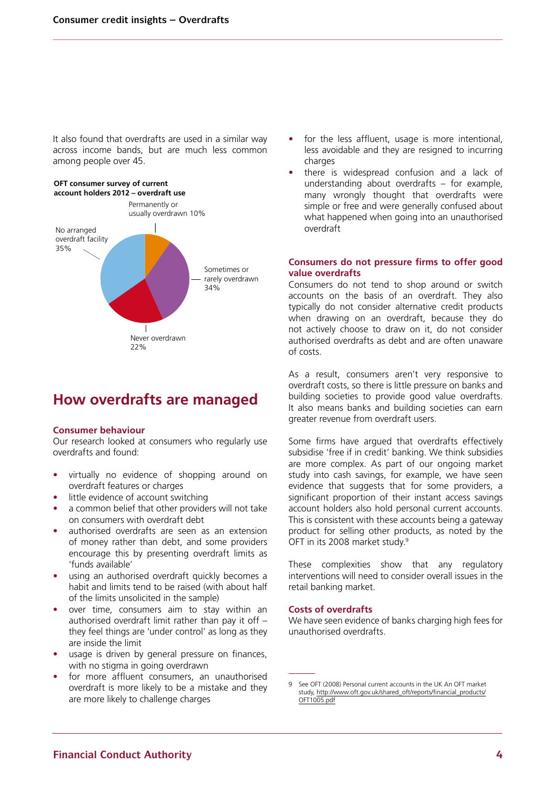It also found that overdrafts are used in a similar way across income bands, but are much less common among people over 45.

#### **OFT consumer survey of current account holders 2012 – overdraft use**



## **How overdrafts are managed**

#### **Consumer behaviour**

Our research looked at consumers who regularly use overdrafts and found:

- virtually no evidence of shopping around on overdraft features or charges
- little evidence of account switching
- a common belief that other providers will not take on consumers with overdraft debt
- authorised overdrafts are seen as an extension of money rather than debt, and some providers encourage this by presenting overdraft limits as 'funds available'
- using an authorised overdraft quickly becomes a habit and limits tend to be raised (with about half of the limits unsolicited in the sample)
- over time, consumers aim to stay within an authorised overdraft limit rather than pay it off – they feel things are 'under control' as long as they are inside the limit
- usage is driven by general pressure on finances, with no stigma in going overdrawn
- for more affluent consumers, an unauthorised overdraft is more likely to be a mistake and they are more likely to challenge charges
- for the less affluent, usage is more intentional, less avoidable and they are resigned to incurring charges
- there is widespread confusion and a lack of understanding about overdrafts – for example, many wrongly thought that overdrafts were simple or free and were generally confused about what happened when going into an unauthorised overdraft

#### **Consumers do not pressure firms to offer good value overdrafts**

Consumers do not tend to shop around or switch accounts on the basis of an overdraft. They also typically do not consider alternative credit products when drawing on an overdraft, because they do not actively choose to draw on it, do not consider authorised overdrafts as debt and are often unaware of costs.

As a result, consumers aren't very responsive to overdraft costs, so there is little pressure on banks and building societies to provide good value overdrafts. It also means banks and building societies can earn greater revenue from overdraft users.

Some firms have argued that overdrafts effectively subsidise 'free if in credit' banking. We think subsidies are more complex. As part of our ongoing market study into cash savings, for example, we have seen evidence that suggests that for some providers, a significant proportion of their instant access savings account holders also hold personal current accounts. This is consistent with these accounts being a gateway product for selling other products, as noted by the OFT in its 2008 market study.<sup>9</sup>

These complexities show that any regulatory interventions will need to consider overall issues in the retail banking market.

#### **Costs of overdrafts**

We have seen evidence of banks charging high fees for unauthorised overdrafts.

<sup>9</sup> See OFT (2008) Personal current accounts in the UK An OFT market study, [http://www.oft.gov.uk/shared\\_oft/reports/financial\\_products/](http://www.oft.gov.uk/shared_oft/reports/financial_products/OFT1005.pdf) [OFT1005.pdf](http://www.oft.gov.uk/shared_oft/reports/financial_products/OFT1005.pdf)